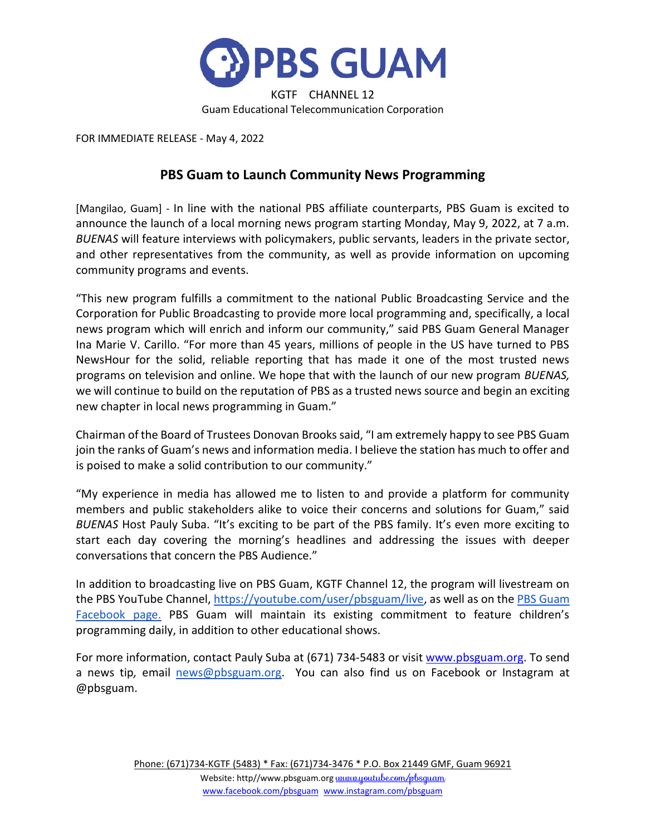

FOR IMMEDIATE RELEASE - May 4, 2022

## **PBS Guam to Launch Community News Programming**

[Mangilao, Guam] - In line with the national PBS affiliate counterparts, PBS Guam is excited to announce the launch of a local morning news program starting Monday, May 9, 2022, at 7 a.m. *BUENAS* will feature interviews with policymakers, public servants, leaders in the private sector, and other representatives from the community, as well as provide information on upcoming community programs and events.

"This new program fulfills a commitment to the national Public Broadcasting Service and the Corporation for Public Broadcasting to provide more local programming and, specifically, a local news program which will enrich and inform our community," said PBS Guam General Manager Ina Marie V. Carillo. "For more than 45 years, millions of people in the US have turned to PBS NewsHour for the solid, reliable reporting that has made it one of the most trusted news programs on television and online. We hope that with the launch of our new program *BUENAS,* we will continue to build on the reputation of PBS as a trusted news source and begin an exciting new chapter in local news programming in Guam."

Chairman of the Board of Trustees Donovan Brooks said, "I am extremely happy to see PBS Guam join the ranks of Guam's news and information media. I believe the station has much to offer and is poised to make a solid contribution to our community."

"My experience in media has allowed me to listen to and provide a platform for community members and public stakeholders alike to voice their concerns and solutions for Guam," said *BUENAS* Host Pauly Suba. "It's exciting to be part of the PBS family. It's even more exciting to start each day covering the morning's headlines and addressing the issues with deeper conversations that concern the PBS Audience."

In addition to broadcasting live on PBS Guam, KGTF Channel 12, the program will livestream on the PBS YouTube Channel, [https://youtube.com/user/pbsguam/live,](https://youtube.com/user/pbsguam/live) as well as on the PBS Guam [Facebook page.](https://www.facebook.com/pbsguam) PBS Guam will maintain its existing commitment to feature children's programming daily, in addition to other educational shows.

For more information, contact Pauly Suba at (671) 734-5483 or visi[t www.pbsguam.org.](http://www.pbsguam.org/) To send a news tip*,* email [news@pbsguam.org.](mailto:news@pbsguam.org) You can also find us on Facebook or Instagram at @pbsguam.